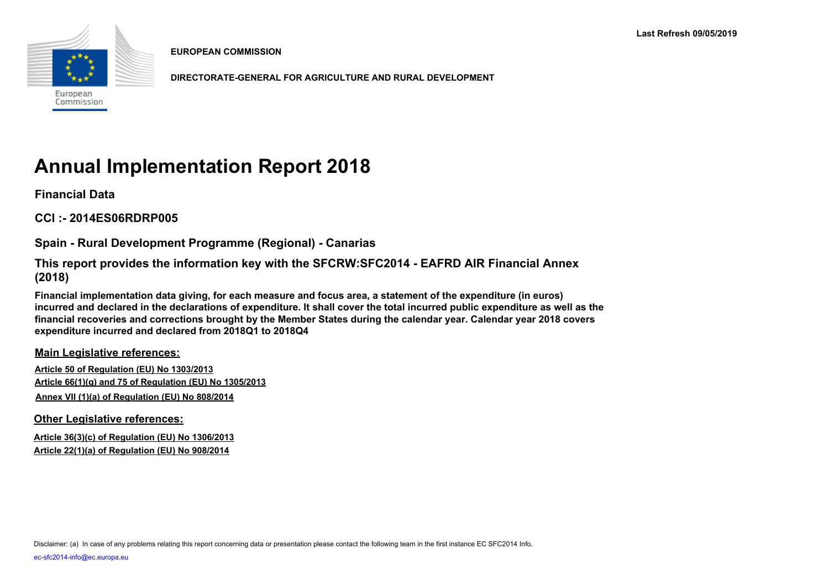

**EUROPEAN COMMISSION**

**DIRECTORATE-GENERAL FOR AGRICULTURE AND RURAL DEVELOPMENT**

# **Annual Implementation Report 2018**

**Financial Data**

**CCI :- 2014ES06RDRP005**

**Spain - Rural Development Programme (Regional) - Canarias**

**This report provides the information key with the SFCRW:SFC2014 - EAFRD AIR Financial Annex (2018)** 

**Financial implementation data giving, for each measure and focus area, a statement of the expenditure (in euros) incurred and declared in the declarations of expenditure. It shall cover the total incurred public expenditure as well as the financial recoveries and corrections brought by the Member States during the calendar year. Calendar year 2018 covers expenditure incurred and declared from 2018Q1 to 2018Q4**

**Main Legislative references:**

**Article 50 of Regulation (EU) No 1303/2013 Article 66(1)(g) and 75 of Regulation (EU) No 1305/2013 Annex VII (1)(a) of Regulation (EU) No 808/2014**

**Other Legislative references:**

**Article 36(3)(c) of Regulation (EU) No 1306/2013 Article 22(1)(a) of Regulation (EU) No 908/2014**

Disclaimer: (a) In case of any problems relating this report concerning data or presentation please contact the following team in the first instance EC SFC2014 Info.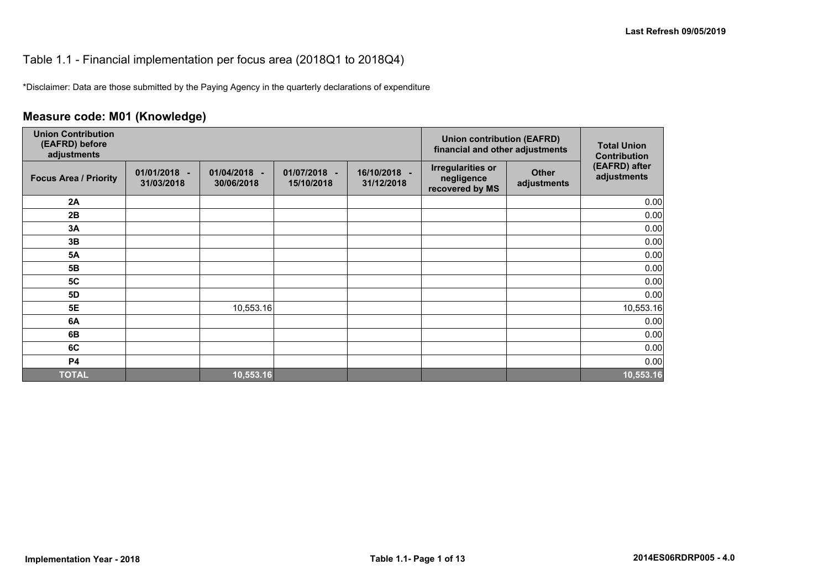#### Table 1.1 - Financial implementation per focus area (2018Q1 to 2018Q4)

\*Disclaimer: Data are those submitted by the Paying Agency in the quarterly declarations of expenditure

## **Measure code: M01 (Knowledge)**

| <b>Union Contribution</b><br>(EAFRD) before<br>adjustments |                            |                               |                            | <b>Union contribution (EAFRD)</b><br>financial and other adjustments | <b>Total Union</b><br><b>Contribution</b>                 |                             |                              |
|------------------------------------------------------------|----------------------------|-------------------------------|----------------------------|----------------------------------------------------------------------|-----------------------------------------------------------|-----------------------------|------------------------------|
| <b>Focus Area / Priority</b>                               | 01/01/2018 -<br>31/03/2018 | 01/04/2018<br>٠<br>30/06/2018 | 01/07/2018 -<br>15/10/2018 | 16/10/2018 -<br>31/12/2018                                           | <b>Irregularities or</b><br>negligence<br>recovered by MS | <b>Other</b><br>adjustments | (EAFRD) after<br>adjustments |
| 2A                                                         |                            |                               |                            |                                                                      |                                                           |                             | 0.00                         |
| 2B                                                         |                            |                               |                            |                                                                      |                                                           |                             | 0.00                         |
| 3A                                                         |                            |                               |                            |                                                                      |                                                           |                             | 0.00                         |
| 3B                                                         |                            |                               |                            |                                                                      |                                                           |                             | 0.00                         |
| <b>5A</b>                                                  |                            |                               |                            |                                                                      |                                                           |                             | 0.00                         |
| 5B                                                         |                            |                               |                            |                                                                      |                                                           |                             | 0.00                         |
| <b>5C</b>                                                  |                            |                               |                            |                                                                      |                                                           |                             | 0.00                         |
| 5D                                                         |                            |                               |                            |                                                                      |                                                           |                             | 0.00                         |
| 5E                                                         |                            | 10,553.16                     |                            |                                                                      |                                                           |                             | 10,553.16                    |
| 6A                                                         |                            |                               |                            |                                                                      |                                                           |                             | 0.00                         |
| 6B                                                         |                            |                               |                            |                                                                      |                                                           |                             | 0.00                         |
| 6C                                                         |                            |                               |                            |                                                                      |                                                           |                             | 0.00                         |
| <b>P4</b>                                                  |                            |                               |                            |                                                                      |                                                           |                             | 0.00                         |
| <b>TOTAL</b>                                               |                            | 10,553.16                     |                            |                                                                      |                                                           |                             | 10,553.16                    |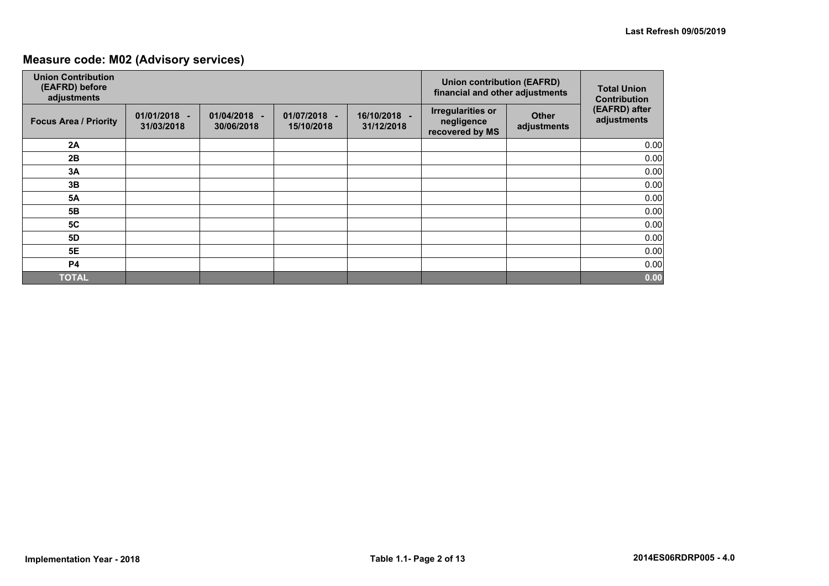## **Measure code: M02 (Advisory services)**

| <b>Union Contribution</b><br>(EAFRD) before<br>adjustments |                              |                              |                            | <b>Union contribution (EAFRD)</b><br>financial and other adjustments | <b>Total Union</b><br><b>Contribution</b>                 |                             |                              |
|------------------------------------------------------------|------------------------------|------------------------------|----------------------------|----------------------------------------------------------------------|-----------------------------------------------------------|-----------------------------|------------------------------|
| <b>Focus Area / Priority</b>                               | $01/01/2018 -$<br>31/03/2018 | $01/04/2018 -$<br>30/06/2018 | 01/07/2018 -<br>15/10/2018 | 16/10/2018 -<br>31/12/2018                                           | <b>Irregularities or</b><br>negligence<br>recovered by MS | <b>Other</b><br>adjustments | (EAFRD) after<br>adjustments |
| 2A                                                         |                              |                              |                            |                                                                      |                                                           |                             | 0.00                         |
| 2B                                                         |                              |                              |                            |                                                                      |                                                           |                             | 0.00                         |
| 3A                                                         |                              |                              |                            |                                                                      |                                                           |                             | 0.00                         |
| 3B                                                         |                              |                              |                            |                                                                      |                                                           |                             | 0.00                         |
| <b>5A</b>                                                  |                              |                              |                            |                                                                      |                                                           |                             | 0.00                         |
| 5B                                                         |                              |                              |                            |                                                                      |                                                           |                             | 0.00                         |
| 5C                                                         |                              |                              |                            |                                                                      |                                                           |                             | 0.00                         |
| <b>5D</b>                                                  |                              |                              |                            |                                                                      |                                                           |                             | 0.00                         |
| 5E                                                         |                              |                              |                            |                                                                      |                                                           |                             | 0.00                         |
| <b>P4</b>                                                  |                              |                              |                            |                                                                      |                                                           |                             | 0.00                         |
| <b>TOTAL</b>                                               |                              |                              |                            |                                                                      |                                                           |                             | 0.00                         |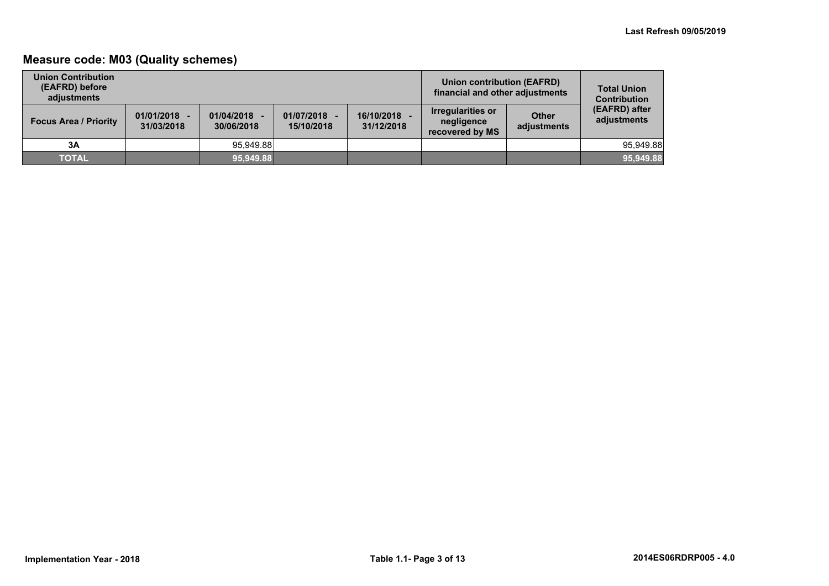## **Measure code: M03 (Quality schemes)**

| <b>Union Contribution</b><br>(EAFRD) before<br>adiustments |                              |                          |                            |                          | Union contribution (EAFRD)<br>financial and other adjustments |                             | <b>Total Union</b><br><b>Contribution</b> |
|------------------------------------------------------------|------------------------------|--------------------------|----------------------------|--------------------------|---------------------------------------------------------------|-----------------------------|-------------------------------------------|
| <b>Focus Area / Priority</b>                               | $01/01/2018 -$<br>31/03/2018 | 01/04/2018<br>30/06/2018 | 01/07/2018 -<br>15/10/2018 | 16/10/2018<br>31/12/2018 | <b>Irregularities or</b><br>negligence<br>recovered by MS     | <b>Other</b><br>adjustments | (EAFRD) after<br>adjustments              |
| 3A                                                         |                              | 95.949.88                |                            |                          |                                                               |                             | 95.949.88                                 |
| <b>TOTAL</b>                                               |                              | 95,949.88                |                            |                          |                                                               |                             | 95,949.88                                 |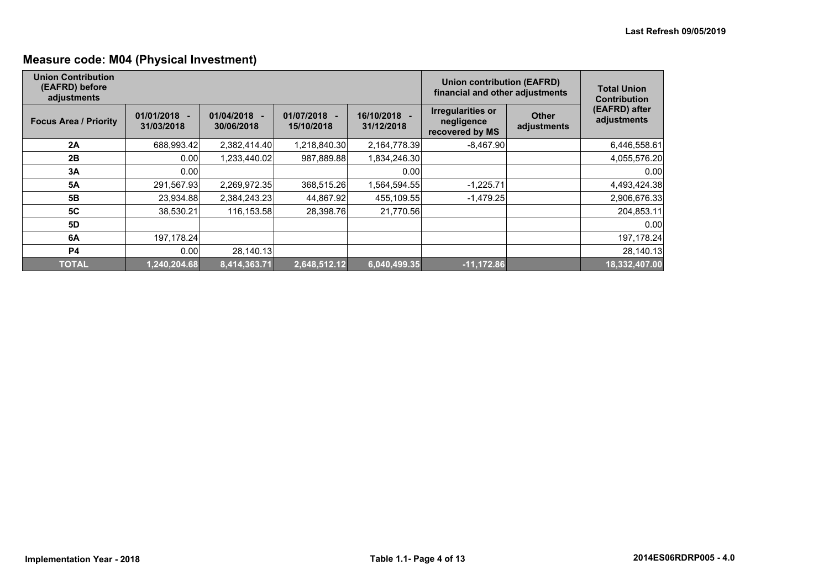## **Measure code: M04 (Physical Investment)**

| <b>Union Contribution</b><br>(EAFRD) before<br>adjustments |                              |                          |                            |                            | <b>Union contribution (EAFRD)</b><br>financial and other adjustments |                             | <b>Total Union</b><br><b>Contribution</b> |
|------------------------------------------------------------|------------------------------|--------------------------|----------------------------|----------------------------|----------------------------------------------------------------------|-----------------------------|-------------------------------------------|
| <b>Focus Area / Priority</b>                               | $01/01/2018 -$<br>31/03/2018 | 01/04/2018<br>30/06/2018 | 01/07/2018 -<br>15/10/2018 | 16/10/2018 -<br>31/12/2018 | <b>Irregularities or</b><br>negligence<br>recovered by MS            | <b>Other</b><br>adjustments | (EAFRD) after<br>adjustments              |
| 2A                                                         | 688,993.42                   | 2,382,414.40             | 1,218,840.30               | 2,164,778.39               | $-8,467.90$                                                          |                             | 6,446,558.61                              |
| 2B                                                         | 0.00                         | 1,233,440.02             | 987,889.88                 | 1,834,246.30               |                                                                      |                             | 4,055,576.20                              |
| 3A                                                         | 0.00                         |                          |                            | 0.00                       |                                                                      |                             | 0.00                                      |
| <b>5A</b>                                                  | 291,567.93                   | 2,269,972.35             | 368,515.26                 | 1,564,594.55               | $-1,225.71$                                                          |                             | 4,493,424.38                              |
| 5B                                                         | 23,934.88                    | 2,384,243.23             | 44,867.92                  | 455,109.55                 | $-1,479.25$                                                          |                             | 2,906,676.33                              |
| 5C                                                         | 38,530.21                    | 116,153.58               | 28,398.76                  | 21,770.56                  |                                                                      |                             | 204,853.11                                |
| 5D                                                         |                              |                          |                            |                            |                                                                      |                             | 0.00                                      |
| 6A                                                         | 197,178.24                   |                          |                            |                            |                                                                      |                             | 197,178.24                                |
| <b>P4</b>                                                  | 0.00                         | 28,140.13                |                            |                            |                                                                      |                             | 28,140.13                                 |
| <b>TOTAL</b>                                               | 1,240,204.68                 | 8,414,363.71             | 2,648,512.12               | 6,040,499.35               | $-11,172.86$                                                         |                             | 18,332,407.00                             |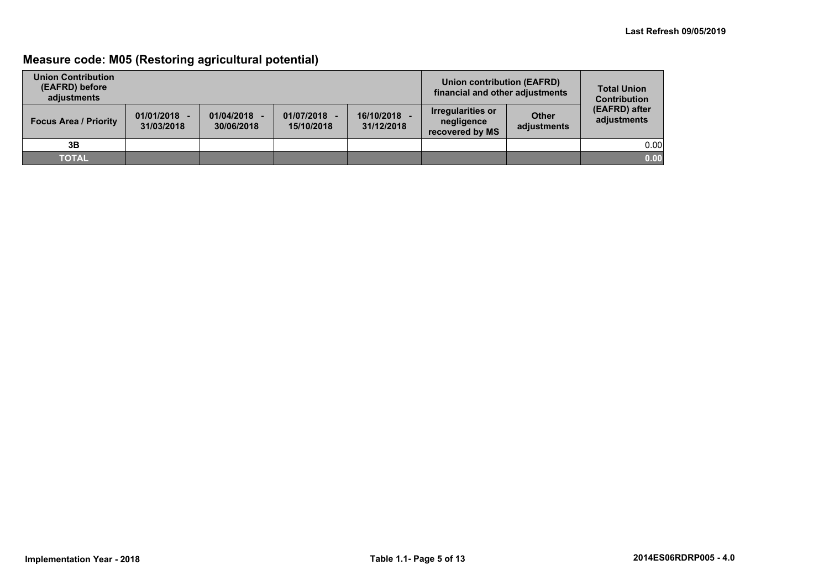## **Measure code: M05 (Restoring agricultural potential)**

| <b>Union Contribution</b><br>(EAFRD) before<br>adiustments |                              |                          |                            | Union contribution (EAFRD)<br>financial and other adjustments | <b>Total Union</b><br><b>Contribution</b>          |                             |                              |
|------------------------------------------------------------|------------------------------|--------------------------|----------------------------|---------------------------------------------------------------|----------------------------------------------------|-----------------------------|------------------------------|
| <b>Focus Area / Priority</b>                               | $01/01/2018 -$<br>31/03/2018 | 01/04/2018<br>30/06/2018 | 01/07/2018 -<br>15/10/2018 | 16/10/2018<br>31/12/2018                                      | Irregularities or<br>negligence<br>recovered by MS | <b>Other</b><br>adjustments | (EAFRD) after<br>adjustments |
| 3B                                                         |                              |                          |                            |                                                               |                                                    |                             | 0.00                         |
| <b>TOTAL</b>                                               |                              |                          |                            |                                                               |                                                    |                             | 0.00                         |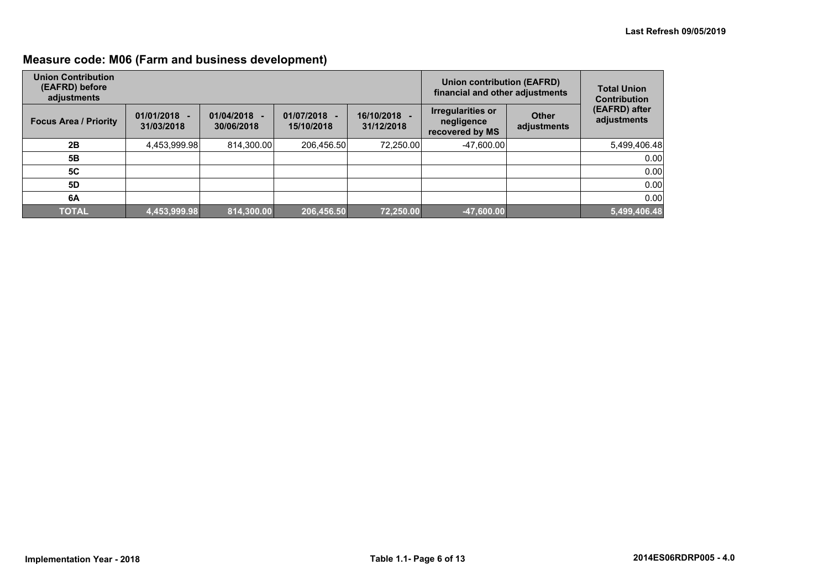## **Measure code: M06 (Farm and business development)**

| <b>Union Contribution</b><br>(EAFRD) before<br>adjustments |                              |                                            |                          |                            | <b>Union contribution (EAFRD)</b><br>financial and other adjustments |                             | <b>Total Union</b><br><b>Contribution</b> |
|------------------------------------------------------------|------------------------------|--------------------------------------------|--------------------------|----------------------------|----------------------------------------------------------------------|-----------------------------|-------------------------------------------|
| <b>Focus Area / Priority</b>                               | $01/01/2018 -$<br>31/03/2018 | 01/04/2018<br>$\overline{a}$<br>30/06/2018 | 01/07/2018<br>15/10/2018 | 16/10/2018 -<br>31/12/2018 | <b>Irregularities or</b><br>negligence<br>recovered by MS            | <b>Other</b><br>adjustments | (EAFRD) after<br>adjustments              |
| 2B                                                         | 4,453,999.98                 | 814,300.00                                 | 206,456.50               | 72,250.00                  | $-47,600.00$                                                         |                             | 5,499,406.48                              |
| 5Β                                                         |                              |                                            |                          |                            |                                                                      |                             | 0.00                                      |
| <b>5C</b>                                                  |                              |                                            |                          |                            |                                                                      |                             | 0.00                                      |
| 5D                                                         |                              |                                            |                          |                            |                                                                      |                             | 0.00                                      |
| 6A                                                         |                              |                                            |                          |                            |                                                                      |                             | 0.00                                      |
| <b>TOTAL</b>                                               | 4,453,999.98                 | 814,300.00                                 | 206,456.50               | 72,250.00                  | $-47,600.00$                                                         |                             | 5,499,406.48                              |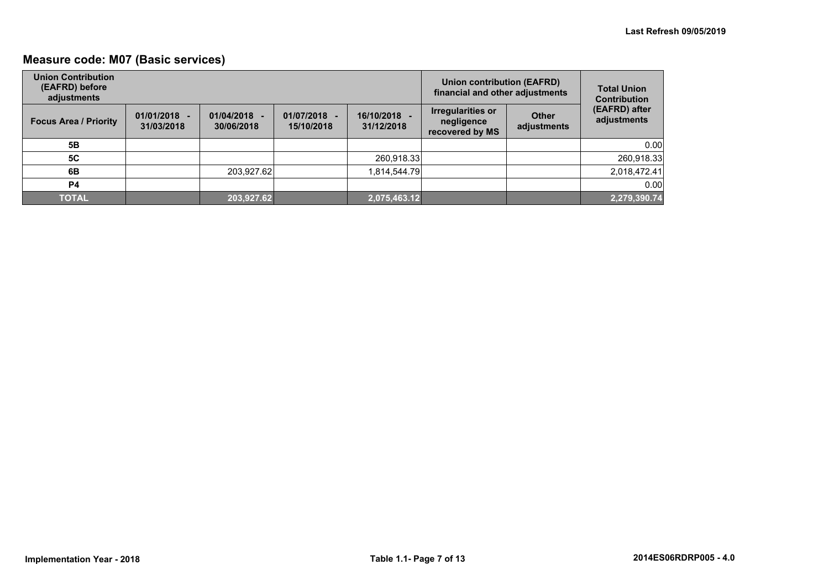## **Measure code: M07 (Basic services)**

| <b>Union Contribution</b><br>(EAFRD) before<br>adjustments |                              |                          |                            | <b>Union contribution (EAFRD)</b><br>financial and other adjustments |                                                           | <b>Total Union</b><br><b>Contribution</b> |                              |
|------------------------------------------------------------|------------------------------|--------------------------|----------------------------|----------------------------------------------------------------------|-----------------------------------------------------------|-------------------------------------------|------------------------------|
| <b>Focus Area / Priority</b>                               | $01/01/2018 -$<br>31/03/2018 | 01/04/2018<br>30/06/2018 | 01/07/2018 -<br>15/10/2018 | 16/10/2018 -<br>31/12/2018                                           | <b>Irregularities or</b><br>negligence<br>recovered by MS | <b>Other</b><br>adjustments               | (EAFRD) after<br>adjustments |
| 5Β                                                         |                              |                          |                            |                                                                      |                                                           |                                           | 0.00                         |
| 5C                                                         |                              |                          |                            | 260,918.33                                                           |                                                           |                                           | 260,918.33                   |
| 6B                                                         |                              | 203,927.62               |                            | 1,814,544.79                                                         |                                                           |                                           | 2,018,472.41                 |
| P4                                                         |                              |                          |                            |                                                                      |                                                           |                                           | 0.00                         |
| <b>TOTAL</b>                                               |                              | 203,927.62               |                            | 2,075,463.12                                                         |                                                           |                                           | 2,279,390.74                 |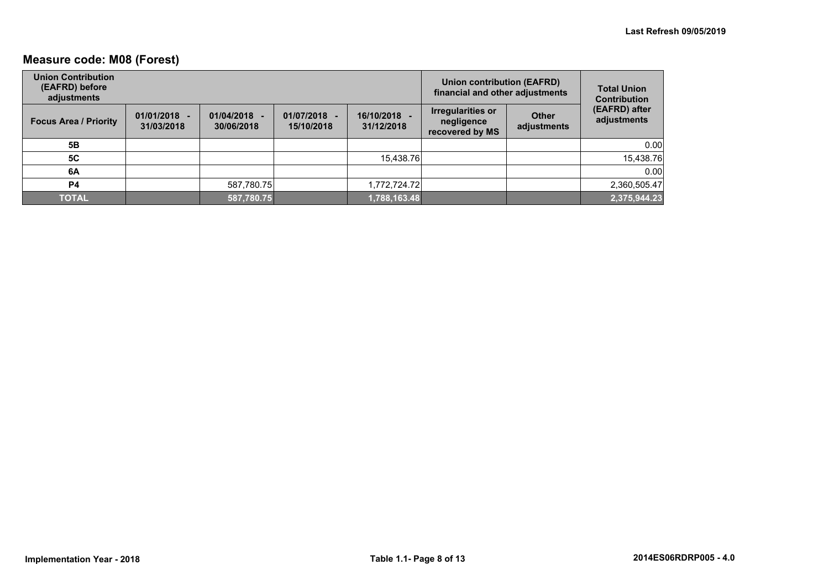## **Measure code: M08 (Forest)**

| <b>Union Contribution</b><br>(EAFRD) before<br>adjustments |                              |                          |                            | <b>Union contribution (EAFRD)</b><br>financial and other adjustments | <b>Total Union</b><br><b>Contribution</b>          |                             |                              |
|------------------------------------------------------------|------------------------------|--------------------------|----------------------------|----------------------------------------------------------------------|----------------------------------------------------|-----------------------------|------------------------------|
| <b>Focus Area / Priority</b>                               | $01/01/2018 -$<br>31/03/2018 | 01/04/2018<br>30/06/2018 | 01/07/2018 -<br>15/10/2018 | 16/10/2018 -<br>31/12/2018                                           | Irregularities or<br>negligence<br>recovered by MS | <b>Other</b><br>adjustments | (EAFRD) after<br>adjustments |
| 5Β                                                         |                              |                          |                            |                                                                      |                                                    |                             | 0.00                         |
| <b>5C</b>                                                  |                              |                          |                            | 15,438.76                                                            |                                                    |                             | 15,438.76                    |
| 6A                                                         |                              |                          |                            |                                                                      |                                                    |                             | 0.00                         |
| P4                                                         |                              | 587,780.75               |                            | 1,772,724.72                                                         |                                                    |                             | 2,360,505.47                 |
| <b>TOTAL</b>                                               |                              | 587,780.75               |                            | 1,788,163.48                                                         |                                                    |                             | 2,375,944.23                 |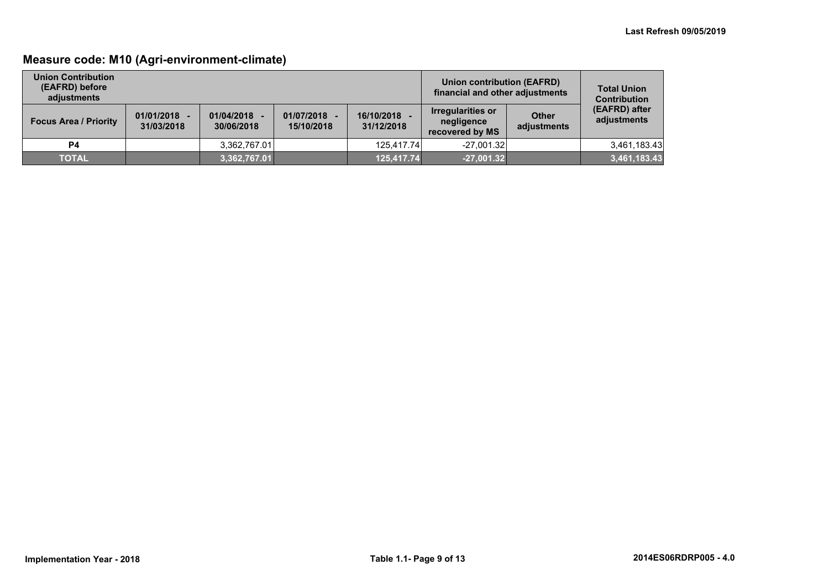## **Measure code: M10 (Agri-environment-climate)**

| <b>Union Contribution</b><br>(EAFRD) before<br>adiustments |                              |                          |                              | Union contribution (EAFRD)<br>financial and other adjustments | <b>Total Union</b><br><b>Contribution</b>                 |                             |                              |
|------------------------------------------------------------|------------------------------|--------------------------|------------------------------|---------------------------------------------------------------|-----------------------------------------------------------|-----------------------------|------------------------------|
| <b>Focus Area / Priority</b>                               | $01/01/2018 -$<br>31/03/2018 | 01/04/2018<br>30/06/2018 | $01/07/2018 -$<br>15/10/2018 | 16/10/2018 -<br>31/12/2018                                    | <b>Irregularities or</b><br>negligence<br>recovered by MS | <b>Other</b><br>adjustments | (EAFRD) after<br>adjustments |
| <b>P4</b>                                                  |                              | 3.362.767.01             |                              | 125.417.74                                                    | $-27.001.32$                                              |                             | 3,461,183.43                 |
| <b>TOTAL</b>                                               |                              | 3,362,767.01             |                              | 125,417.74                                                    | $-27,001.32$                                              |                             | 3,461,183.43                 |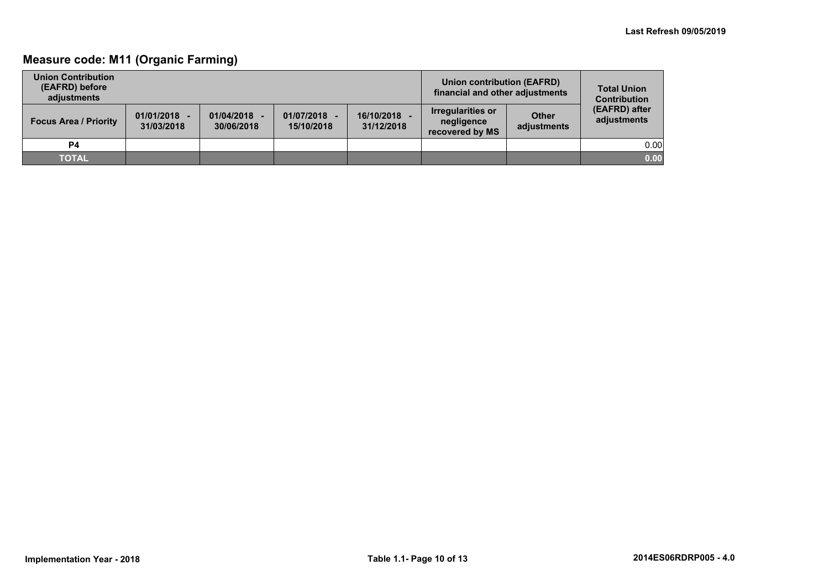## **Measure code: M11 (Organic Farming)**

| <b>Union Contribution</b><br>(EAFRD) before<br>adiustments |                              |                          |                            | Union contribution (EAFRD)<br>financial and other adjustments | <b>Total Union</b><br><b>Contribution</b>                 |                             |                              |
|------------------------------------------------------------|------------------------------|--------------------------|----------------------------|---------------------------------------------------------------|-----------------------------------------------------------|-----------------------------|------------------------------|
| <b>Focus Area / Priority</b>                               | $01/01/2018 -$<br>31/03/2018 | 01/04/2018<br>30/06/2018 | 01/07/2018 -<br>15/10/2018 | 16/10/2018 -<br>31/12/2018                                    | <b>Irregularities or</b><br>negligence<br>recovered by MS | <b>Other</b><br>adjustments | (EAFRD) after<br>adjustments |
| <b>P4</b>                                                  |                              |                          |                            |                                                               |                                                           |                             | 0.00                         |
| <b>TOTAL</b>                                               |                              |                          |                            |                                                               |                                                           |                             | 0.00                         |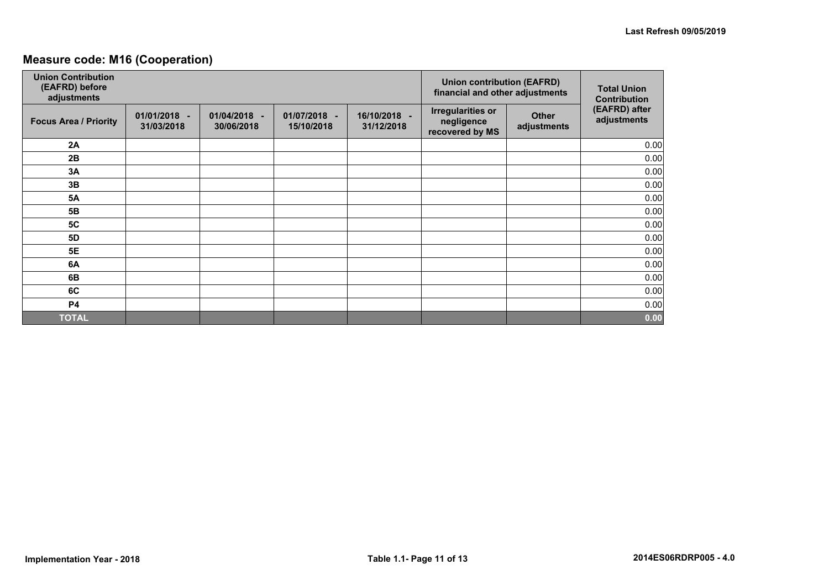## **Measure code: M16 (Cooperation)**

| <b>Union Contribution</b><br>(EAFRD) before<br>adjustments |                            |                            |                            | <b>Union contribution (EAFRD)</b><br>financial and other adjustments | <b>Total Union</b><br><b>Contribution</b>                 |                             |                              |
|------------------------------------------------------------|----------------------------|----------------------------|----------------------------|----------------------------------------------------------------------|-----------------------------------------------------------|-----------------------------|------------------------------|
| <b>Focus Area / Priority</b>                               | 01/01/2018 -<br>31/03/2018 | 01/04/2018 -<br>30/06/2018 | 01/07/2018 -<br>15/10/2018 | 16/10/2018 -<br>31/12/2018                                           | <b>Irregularities or</b><br>negligence<br>recovered by MS | <b>Other</b><br>adjustments | (EAFRD) after<br>adjustments |
| 2A                                                         |                            |                            |                            |                                                                      |                                                           |                             | 0.00                         |
| 2B                                                         |                            |                            |                            |                                                                      |                                                           |                             | 0.00                         |
| 3A                                                         |                            |                            |                            |                                                                      |                                                           |                             | 0.00                         |
| 3B                                                         |                            |                            |                            |                                                                      |                                                           |                             | 0.00                         |
| <b>5A</b>                                                  |                            |                            |                            |                                                                      |                                                           |                             | 0.00                         |
| 5B                                                         |                            |                            |                            |                                                                      |                                                           |                             | 0.00                         |
| <b>5C</b>                                                  |                            |                            |                            |                                                                      |                                                           |                             | 0.00                         |
| 5D                                                         |                            |                            |                            |                                                                      |                                                           |                             | 0.00                         |
| <b>5E</b>                                                  |                            |                            |                            |                                                                      |                                                           |                             | 0.00                         |
| 6A                                                         |                            |                            |                            |                                                                      |                                                           |                             | 0.00                         |
| 6B                                                         |                            |                            |                            |                                                                      |                                                           |                             | 0.00                         |
| 6C                                                         |                            |                            |                            |                                                                      |                                                           |                             | 0.00                         |
| <b>P4</b>                                                  |                            |                            |                            |                                                                      |                                                           |                             | 0.00                         |
| <b>TOTAL</b>                                               |                            |                            |                            |                                                                      |                                                           |                             | 0.00                         |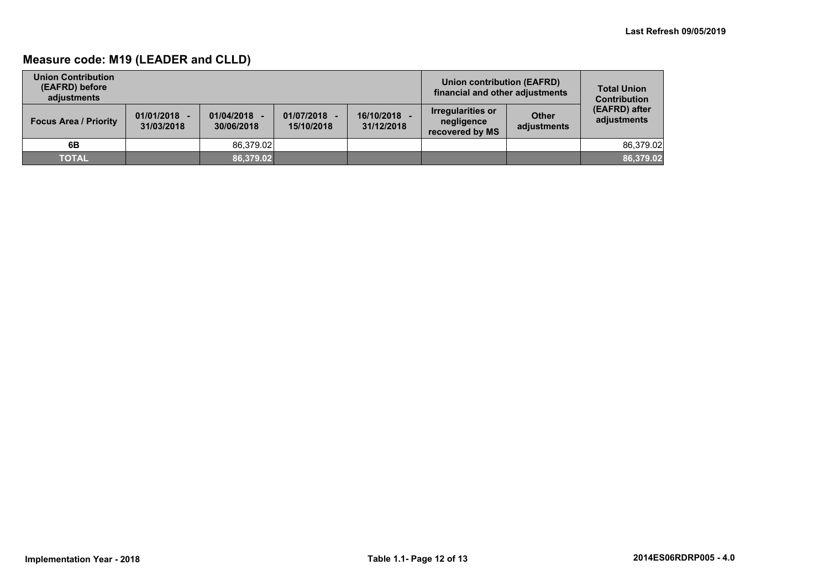## **Measure code: M19 (LEADER and CLLD)**

| <b>Union Contribution</b><br>(EAFRD) before<br>adiustments |                              |                          |                            | Union contribution (EAFRD)<br>financial and other adjustments | <b>Total Union</b><br><b>Contribution</b>                 |                             |                              |
|------------------------------------------------------------|------------------------------|--------------------------|----------------------------|---------------------------------------------------------------|-----------------------------------------------------------|-----------------------------|------------------------------|
| <b>Focus Area / Priority</b>                               | $01/01/2018 -$<br>31/03/2018 | 01/04/2018<br>30/06/2018 | 01/07/2018 -<br>15/10/2018 | 16/10/2018<br>31/12/2018                                      | <b>Irregularities or</b><br>negligence<br>recovered by MS | <b>Other</b><br>adjustments | (EAFRD) after<br>adjustments |
| 6B                                                         |                              | 86.379.02                |                            |                                                               |                                                           |                             | 86,379.02                    |
| <b>TOTAL</b>                                               |                              | 86.379.02                |                            |                                                               |                                                           |                             | 86,379.02                    |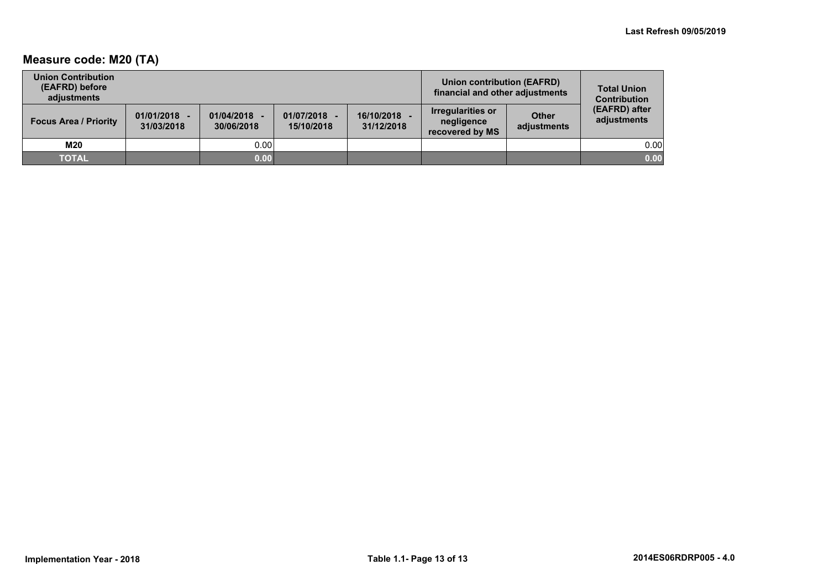## **Measure code: M20 (TA)**

| <b>Union Contribution</b><br>(EAFRD) before<br>adiustments |                              |                          |                            |                          |                                                    | <b>Union contribution (EAFRD)</b><br>financial and other adjustments |                              |  |
|------------------------------------------------------------|------------------------------|--------------------------|----------------------------|--------------------------|----------------------------------------------------|----------------------------------------------------------------------|------------------------------|--|
| <b>Focus Area / Priority</b>                               | $01/01/2018 -$<br>31/03/2018 | 01/04/2018<br>30/06/2018 | 01/07/2018 -<br>15/10/2018 | 16/10/2018<br>31/12/2018 | Irregularities or<br>negligence<br>recovered by MS | <b>Other</b><br>adjustments                                          | (EAFRD) after<br>adjustments |  |
| M20                                                        |                              | 0.00                     |                            |                          |                                                    |                                                                      | 0.00                         |  |
| <b>TOTAL</b>                                               |                              | 0.00                     |                            |                          |                                                    |                                                                      | 0.00                         |  |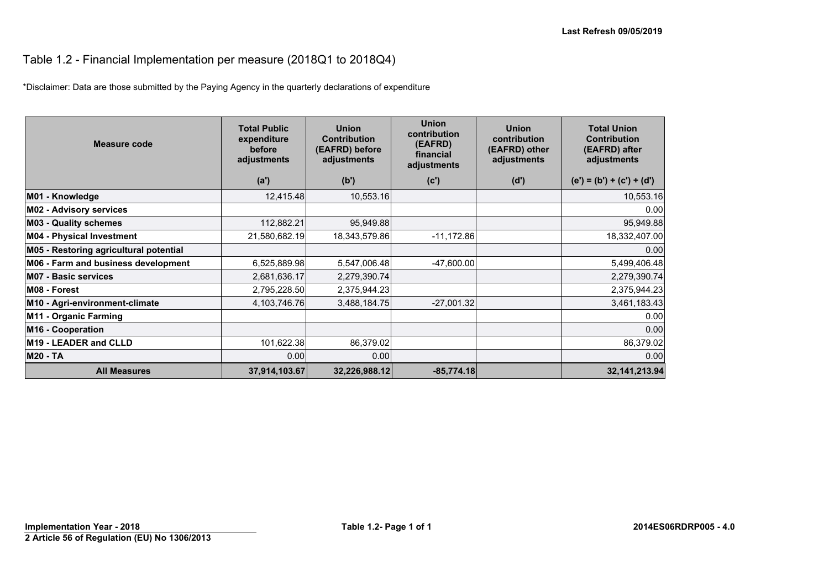## Table 1.2 - Financial Implementation per measure (2018Q1 to 2018Q4)

\*Disclaimer: Data are those submitted by the Paying Agency in the quarterly declarations of expenditure

| Measure code                           | <b>Total Public</b><br>expenditure<br>before<br>adjustments | <b>Union</b><br><b>Contribution</b><br>(EAFRD) before<br>adjustments | <b>Union</b><br>contribution<br>(EAFRD)<br>financial<br>adjustments | <b>Union</b><br>contribution<br>(EAFRD) other<br>adjustments | <b>Total Union</b><br><b>Contribution</b><br>(EAFRD) after<br>adjustments |
|----------------------------------------|-------------------------------------------------------------|----------------------------------------------------------------------|---------------------------------------------------------------------|--------------------------------------------------------------|---------------------------------------------------------------------------|
|                                        | (a')                                                        | (b')                                                                 | (c')                                                                | (d')                                                         | $(e') = (b') + (c') + (d')$                                               |
| M01 - Knowledge                        | 12,415.48                                                   | 10,553.16                                                            |                                                                     |                                                              | 10,553.16                                                                 |
| M02 - Advisory services                |                                                             |                                                                      |                                                                     |                                                              | 0.00                                                                      |
| <b>M03 - Quality schemes</b>           | 112,882.21                                                  | 95,949.88                                                            |                                                                     |                                                              | 95,949.88                                                                 |
| <b>M04 - Physical Investment</b>       | 21,580,682.19                                               | 18,343,579.86                                                        | $-11,172.86$                                                        |                                                              | 18,332,407.00                                                             |
| M05 - Restoring agricultural potential |                                                             |                                                                      |                                                                     |                                                              | 0.00                                                                      |
| M06 - Farm and business development    | 6,525,889.98                                                | 5,547,006.48                                                         | $-47,600.00$                                                        |                                                              | 5,499,406.48                                                              |
| <b>M07 - Basic services</b>            | 2,681,636.17                                                | 2,279,390.74                                                         |                                                                     |                                                              | 2,279,390.74                                                              |
| M08 - Forest                           | 2,795,228.50                                                | 2,375,944.23                                                         |                                                                     |                                                              | 2,375,944.23                                                              |
| M10 - Agri-environment-climate         | 4,103,746.76                                                | 3,488,184.75                                                         | $-27,001.32$                                                        |                                                              | 3,461,183.43                                                              |
| M11 - Organic Farming                  |                                                             |                                                                      |                                                                     |                                                              | 0.00                                                                      |
| M16 - Cooperation                      |                                                             |                                                                      |                                                                     |                                                              | 0.00                                                                      |
| M19 - LEADER and CLLD                  | 101,622.38                                                  | 86,379.02                                                            |                                                                     |                                                              | 86,379.02                                                                 |
| <b>M20 - TA</b>                        | 0.00                                                        | 0.00                                                                 |                                                                     |                                                              | 0.00                                                                      |
| <b>All Measures</b>                    | 37,914,103.67                                               | 32,226,988.12                                                        | $-85,774.18$                                                        |                                                              | 32, 141, 213. 94                                                          |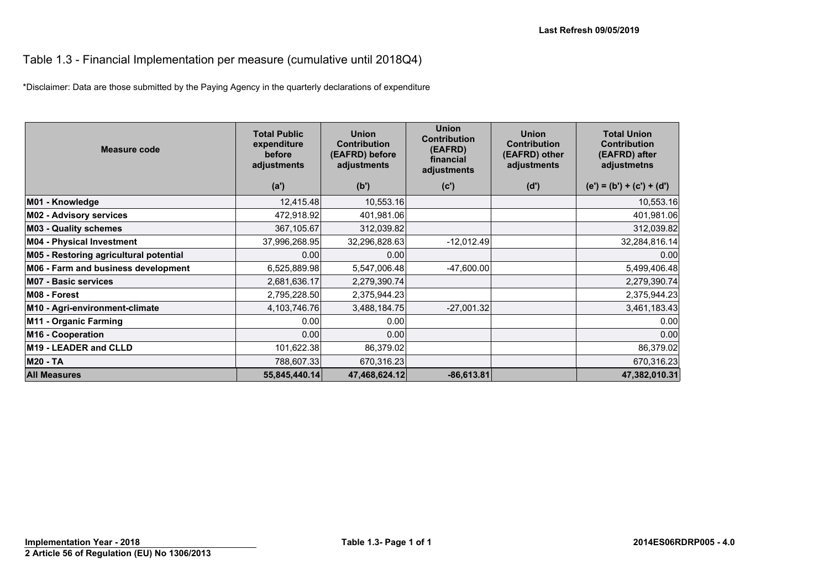#### Table 1.3 - Financial Implementation per measure (cumulative until 2018Q4)

\*Disclaimer: Data are those submitted by the Paying Agency in the quarterly declarations of expenditure

| <b>Measure code</b>                    | <b>Total Public</b><br>expenditure<br>before<br>adjustments | <b>Union</b><br><b>Contribution</b><br>(EAFRD) before<br>adjustments | <b>Union</b><br><b>Contribution</b><br>(EAFRD)<br>financial<br>adjustments | <b>Union</b><br><b>Contribution</b><br>(EAFRD) other<br>adjustments | <b>Total Union</b><br><b>Contribution</b><br>(EAFRD) after<br>adjustmetns |
|----------------------------------------|-------------------------------------------------------------|----------------------------------------------------------------------|----------------------------------------------------------------------------|---------------------------------------------------------------------|---------------------------------------------------------------------------|
|                                        | (a')                                                        | (b')                                                                 | (c')                                                                       | (d')                                                                | $(e') = (b') + (c') + (d')$                                               |
| M01 - Knowledge                        | 12,415.48                                                   | 10,553.16                                                            |                                                                            |                                                                     | 10,553.16                                                                 |
| <b>M02 - Advisory services</b>         | 472,918.92                                                  | 401,981.06                                                           |                                                                            |                                                                     | 401,981.06                                                                |
| <b>M03 - Quality schemes</b>           | 367,105.67                                                  | 312,039.82                                                           |                                                                            |                                                                     | 312,039.82                                                                |
| <b>M04 - Physical Investment</b>       | 37,996,268.95                                               | 32,296,828.63                                                        | $-12,012.49$                                                               |                                                                     | 32,284,816.14                                                             |
| M05 - Restoring agricultural potential | 0.00                                                        | 0.00                                                                 |                                                                            |                                                                     | 0.00                                                                      |
| M06 - Farm and business development    | 6,525,889.98                                                | 5,547,006.48                                                         | $-47,600.00$                                                               |                                                                     | 5,499,406.48                                                              |
| <b>M07 - Basic services</b>            | 2,681,636.17                                                | 2,279,390.74                                                         |                                                                            |                                                                     | 2,279,390.74                                                              |
| M08 - Forest                           | 2,795,228.50                                                | 2,375,944.23                                                         |                                                                            |                                                                     | 2,375,944.23                                                              |
| M10 - Agri-environment-climate         | 4,103,746.76                                                | 3,488,184.75                                                         | $-27,001.32$                                                               |                                                                     | 3,461,183.43                                                              |
| M11 - Organic Farming                  | 0.00                                                        | 0.00                                                                 |                                                                            |                                                                     | 0.00                                                                      |
| M <sub>16</sub> - Cooperation          | 0.00                                                        | 0.00                                                                 |                                                                            |                                                                     | 0.00                                                                      |
| M19 - LEADER and CLLD                  | 101,622.38                                                  | 86,379.02                                                            |                                                                            |                                                                     | 86,379.02                                                                 |
| <b>M20 - TA</b>                        | 788,607.33                                                  | 670,316.23                                                           |                                                                            |                                                                     | 670,316.23                                                                |
| <b>All Measures</b>                    | 55,845,440.14                                               | 47,468,624.12                                                        | $-86,613.81$                                                               |                                                                     | 47,382,010.31                                                             |